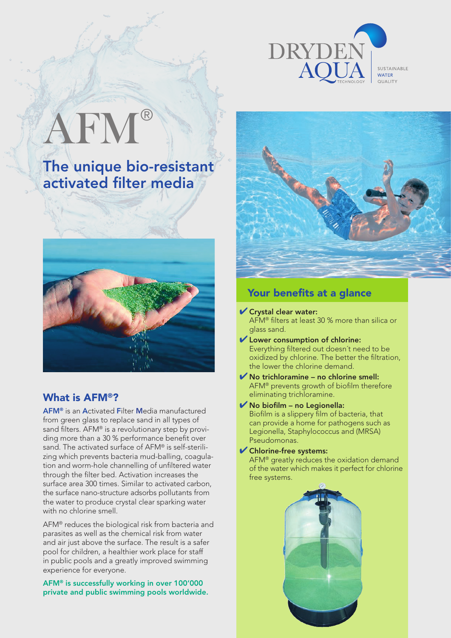

SUSTAINABLE **OUALITY** 

# AFM®

The unique bio-resistant activated filter media



## What is AFM®?

AFM® is an Activated Filter Media manufactured from green glass to replace sand in all types of sand filters. AFM® is a revolutionary step by providing more than a 30 % performance benefit over sand. The activated surface of AFM® is self-sterilizing which prevents bacteria mud-balling, coagulation and worm-hole channelling of unfiltered water through the filter bed. Activation increases the surface area 300 times. Similar to activated carbon, the surface nano-structure adsorbs pollutants from the water to produce crystal clear sparking water with no chlorine smell.

AFM® reduces the biological risk from bacteria and parasites as well as the chemical risk from water and air just above the surface. The result is a safer pool for children, a healthier work place for staff in public pools and a greatly improved swimming experience for everyone.

#### AFM® is successfully working in over 100'000 private and public swimming pools worldwide.



# Your benefits at a glance

- ✔ Crystal clear water: AFM® filters at least 30 % more than silica or glass sand.
- ✔ Lower consumption of chlorine: Everything filtered out doesn´t need to be oxidized by chlorine. The better the filtration, the lower the chlorine demand.
- $\blacktriangleright$  No trichloramine no chlorine smell: AFM® prevents growth of biofilm therefore eliminating trichloramine.
- $\blacktriangleright$  No biofilm no Legionella: Biofilm is a slippery film of bacteria, that can provide a home for pathogens such as Legionella, Staphylococcus and (MRSA) Pseudomonas.
- ✔ Chlorine-free systems: AFM® greatly reduces the oxidation demand of the water which makes it perfect for chlorine free systems.